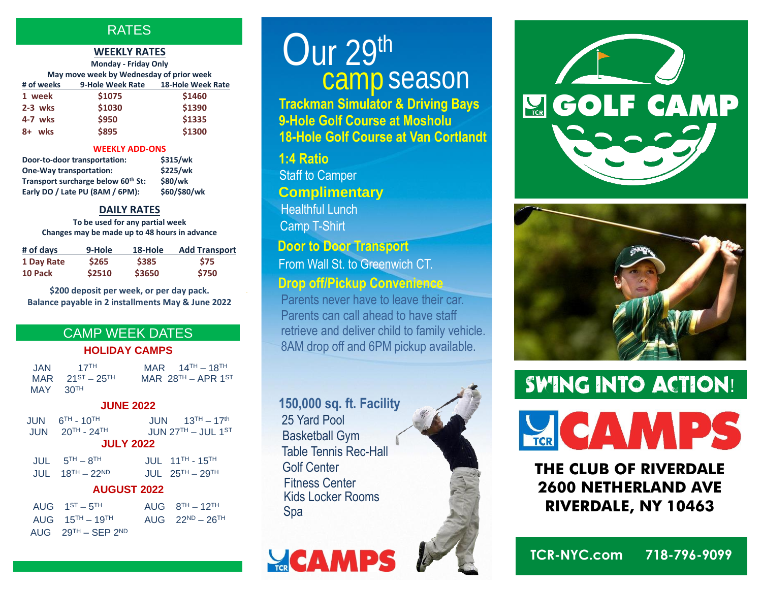#### **RATES**

#### **WEEKLY RATES**

| <b>Monday - Friday Only</b>              |        |                                    |  |
|------------------------------------------|--------|------------------------------------|--|
| May move week by Wednesday of prior week |        |                                    |  |
| # of weeks                               |        | 9-Hole Week Rate 18-Hole Week Rate |  |
| 1 week                                   | \$1075 | \$1460                             |  |
| $2-3$ wks                                | \$1030 | \$1390                             |  |
| 4-7 wks                                  | \$950  | \$1335                             |  |
| wks<br>$8+$                              | \$895  | \$1300                             |  |

#### **WEEKLY ADD-ONS**

| Door-to-door transportation:       | \$315/wk     |
|------------------------------------|--------------|
| <b>One-Way transportation:</b>     | \$225/wk     |
| Transport surcharge below 60th St: | \$80/wk      |
| Early DO / Late PU (8AM / 6PM):    | \$60/\$80/wk |

#### **DAILY RATES**

**To be used for any partial week Changes may be made up to 48 hours in advance**

| # of days  | 9-Hole       | 18-Hole | <b>Add Transport</b> |
|------------|--------------|---------|----------------------|
| 1 Day Rate | <b>\$265</b> | \$385   | <b>S75</b>           |
| 10 Pack    | \$2510       | \$3650  | \$750                |

**\$200 deposit per week, or per day pack. Balance payable in 2 installments May & June 2022**

#### CAMP WEEK DATES

#### **HOLIDAY CAMPS**

| JAN        | 17 <sup>TH</sup>        | MAR $14^{TH} - 18^{TH}$ |
|------------|-------------------------|-------------------------|
|            | MAR $21^{ST} - 25^{TH}$ | MAR $28TH - APR 1ST$    |
| $MAY$ 30TH |                         |                         |

#### **JUNE 2022**

|                  | $JUN$ $6TH - 10TH$<br>$JUN = 20^{TH} - 24^{TH}$ | $JUN = 13TH - 17th$<br>JUN $27TH - JUL$ 1 <sup>ST</sup> |  |  |
|------------------|-------------------------------------------------|---------------------------------------------------------|--|--|
| <b>JULY 2022</b> |                                                 |                                                         |  |  |
|                  | $JUL$ $5TH - 8TH$                               | <b>JUL</b> 11 <sup>TH</sup> - 15 <sup>TH</sup>          |  |  |

| _______ |                     |                   |  |
|---------|---------------------|-------------------|--|
|         | $JUL = 18TH - 22ND$ | JUL $25TH - 29TH$ |  |
|         |                     |                   |  |

#### **AUGUST 2022**

| AUG $1^{ST} - 5^{TH}$               | AUG $8^{TH} - 12^{TH}$  |
|-------------------------------------|-------------------------|
| AUG $15^{TH} - 19^{TH}$             | AUG $22^{ND} - 26^{TH}$ |
| AUG $29^{TH}$ – SEP 2 <sup>ND</sup> |                         |

**GolfTCR.com**

## camp season  $Our 29<sup>th</sup>$

**Trackman Simulator & Driving Bays 9-Hole Golf Course at Mosholu 18-Hole Golf Course at Van Cortlandt**

#### **1:4 Ratio**

Staff to Camper **Complimentary** Healthful Lunch

Camp T-Shirt

#### **Door to Door Transport**

From Wall St. to Greenwich CT.

#### **Drop off/Pickup Convenience**

Parents never have to leave their car. Parents can call ahead to have staff retrieve and deliver child to family vehicle. 8AM drop off and 6PM pickup available.

**150,000 sq. ft. Facility** 25 Yard Pool Basketball Gym Table Tennis Rec-Hall Golf Center Kids Locker Rooms Fitness Center Spa

**YCAMPS** 







**THE CLUB OF RIVERDALE 2600 NETHERLAND AVE RIVERDALE, NY 10463**

**TCR-NYC.com 718-796-9099**